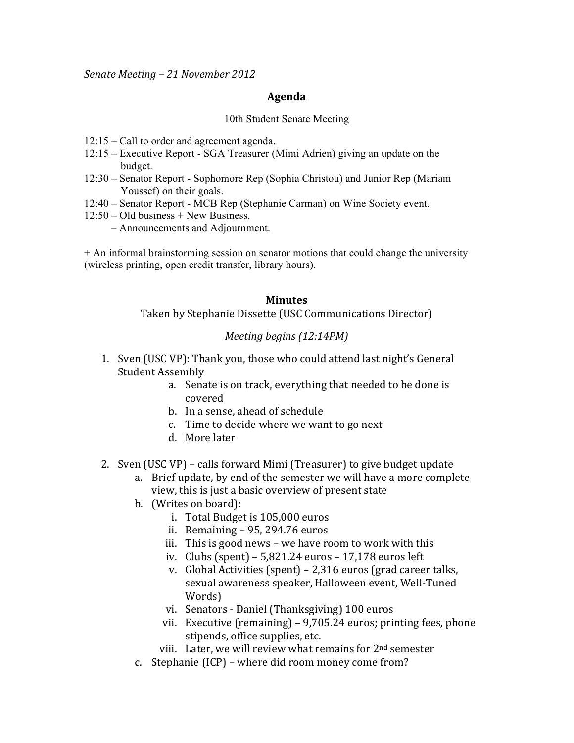*Senate&Meeting&– 21 November 2012*

## **Agenda**

## 10th Student Senate Meeting

- 12:15 Call to order and agreement agenda.
- 12:15 Executive Report SGA Treasurer (Mimi Adrien) giving an update on the budget.
- 12:30 Senator Report Sophomore Rep (Sophia Christou) and Junior Rep (Mariam Youssef) on their goals.
- 12:40 Senator Report MCB Rep (Stephanie Carman) on Wine Society event.
- $12:50 Old business + New Business.$ 
	- Announcements and Adjournment.

+ An informal brainstorming session on senator motions that could change the university (wireless printing, open credit transfer, library hours).

## **Minutes**

Taken by Stephanie Dissette (USC Communications Director)

## *Meeting begins (12:14PM)*

- 1. Sven (USC VP): Thank you, those who could attend last night's General Student Assembly
	- a. Senate is on track, everything that needed to be done is covered
	- b. In a sense, ahead of schedule
	- c. Time to decide where we want to go next
	- d. More later
- 2. Sven (USC VP) calls forward Mimi (Treasurer) to give budget update
	- a. Brief update, by end of the semester we will have a more complete view, this is just a basic overview of present state
	- b. (Writes on board):
		- i. Total Budget is 105,000 euros
		- ii. Remaining 95, 294.76 euros
		- iii. This is good news we have room to work with this
		- iv. Clubs (spent) 5,821.24 euros 17,178 euros left
		- v. Global Activities (spent) 2,316 euros (grad career talks, sexual awareness speaker, Halloween event, Well-Tuned Words)
		- vi. Senators Daniel (Thanksgiving) 100 euros
		- vii. Executive (remaining)  $9,705.24$  euros; printing fees, phone stipends, office supplies, etc.
		- viii. Later, we will review what remains for  $2<sup>nd</sup>$  semester
	- c. Stephanie (ICP) where did room money come from?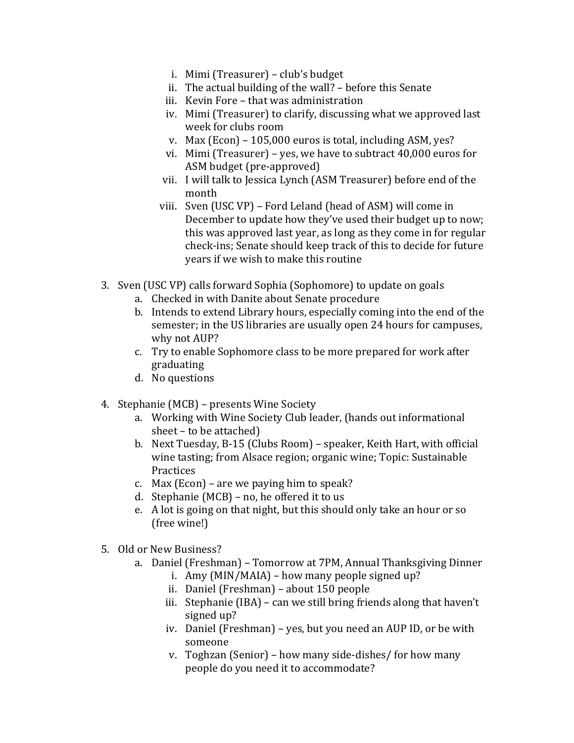- i. Mimi (Treasurer) club's budget
- ii. The actual building of the wall? before this Senate
- iii. Kevin Fore that was administration
- iv. Mimi (Treasurer) to clarify, discussing what we approved last week for clubs room
- v. Max (Econ) 105,000 euros is total, including ASM, yes?
- vi. Mimi (Treasurer) yes, we have to subtract  $40,000$  euros for ASM budget (pre-approved)
- vii. I will talk to Jessica Lynch (ASM Treasurer) before end of the month
- viii. Sven (USC VP) Ford Leland (head of ASM) will come in December to update how they've used their budget up to now; this was approved last year, as long as they come in for regular check-ins; Senate should keep track of this to decide for future years if we wish to make this routine
- 3. Sven (USC VP) calls forward Sophia (Sophomore) to update on goals
	- a. Checked in with Danite about Senate procedure
	- b. Intends to extend Library hours, especially coming into the end of the semester; in the US libraries are usually open 24 hours for campuses, why not AUP?
	- c. Try to enable Sophomore class to be more prepared for work after graduating
	- d. No questions
- 4. Stephanie (MCB) presents Wine Society
	- a. Working with Wine Society Club leader, (hands out informational sheet – to be attached)
	- b. Next Tuesday, B-15 (Clubs Room) speaker, Keith Hart, with official wine tasting; from Alsace region; organic wine; Topic: Sustainable Practices
	- c. Max (Econ) are we paying him to speak?
	- d. Stephanie (MCB) no, he offered it to us
	- e. A lot is going on that night, but this should only take an hour or so (free wine!)
- 5. Old or New Business?
	- a. Daniel (Freshman) Tomorrow at 7PM, Annual Thanksgiving Dinner
		- i. Amy (MIN/MAIA) how many people signed up?
		- ii. Daniel (Freshman) about 150 people
		- iii. Stephanie (IBA) can we still bring friends along that haven't signed up?
		- iv. Daniel (Freshman) yes, but you need an AUP ID, or be with someone
		- v. Toghzan (Senior) how many side-dishes/ for how many people do you need it to accommodate?